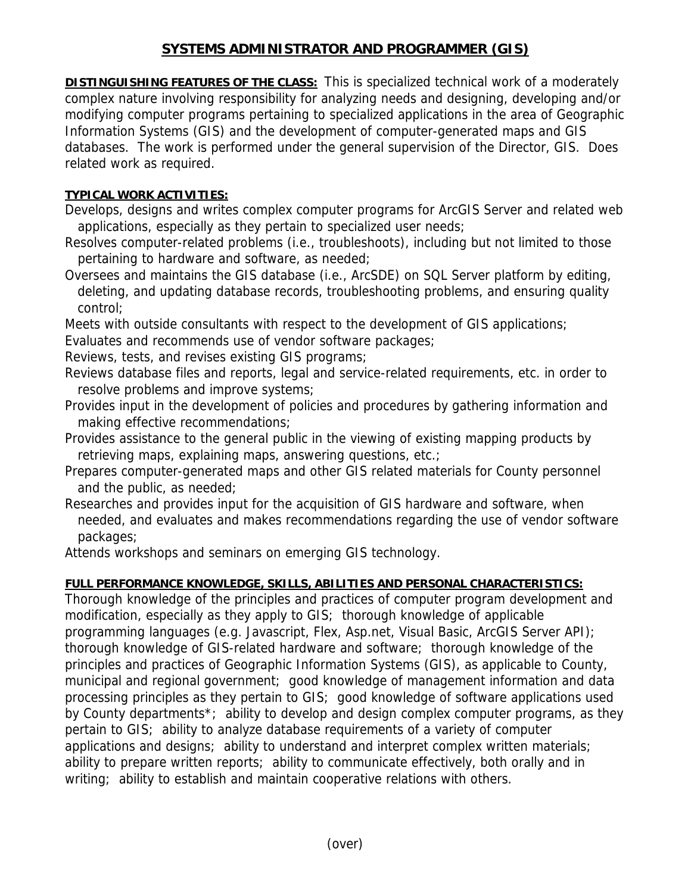## **SYSTEMS ADMINISTRATOR AND PROGRAMMER (GIS)**

**DISTINGUISHING FEATURES OF THE CLASS:** This is specialized technical work of a moderately complex nature involving responsibility for analyzing needs and designing, developing and/or modifying computer programs pertaining to specialized applications in the area of Geographic Information Systems (GIS) and the development of computer-generated maps and GIS databases. The work is performed under the general supervision of the Director, GIS. Does related work as required.

## **TYPICAL WORK ACTIVITIES:**

Develops, designs and writes complex computer programs for ArcGIS Server and related web applications, especially as they pertain to specialized user needs;

- Resolves computer-related problems (i.e., troubleshoots), including but not limited to those pertaining to hardware and software, as needed;
- Oversees and maintains the GIS database (i.e., ArcSDE) on SQL Server platform by editing, deleting, and updating database records, troubleshooting problems, and ensuring quality control;
- Meets with outside consultants with respect to the development of GIS applications;

Evaluates and recommends use of vendor software packages;

- Reviews, tests, and revises existing GIS programs;
- Reviews database files and reports, legal and service-related requirements, etc. in order to resolve problems and improve systems;
- Provides input in the development of policies and procedures by gathering information and making effective recommendations;
- Provides assistance to the general public in the viewing of existing mapping products by retrieving maps, explaining maps, answering questions, etc.;
- Prepares computer-generated maps and other GIS related materials for County personnel and the public, as needed;
- Researches and provides input for the acquisition of GIS hardware and software, when needed, and evaluates and makes recommendations regarding the use of vendor software packages;

Attends workshops and seminars on emerging GIS technology.

## **FULL PERFORMANCE KNOWLEDGE, SKILLS, ABILITIES AND PERSONAL CHARACTERISTICS:**

Thorough knowledge of the principles and practices of computer program development and modification, especially as they apply to GIS; thorough knowledge of applicable programming languages (e.g. Javascript, Flex, Asp.net, Visual Basic, ArcGIS Server API); thorough knowledge of GIS-related hardware and software; thorough knowledge of the principles and practices of Geographic Information Systems (GIS), as applicable to County, municipal and regional government; good knowledge of management information and data processing principles as they pertain to GIS; good knowledge of software applications used by County departments\*; ability to develop and design complex computer programs, as they pertain to GIS; ability to analyze database requirements of a variety of computer applications and designs; ability to understand and interpret complex written materials; ability to prepare written reports; ability to communicate effectively, both orally and in writing; ability to establish and maintain cooperative relations with others.